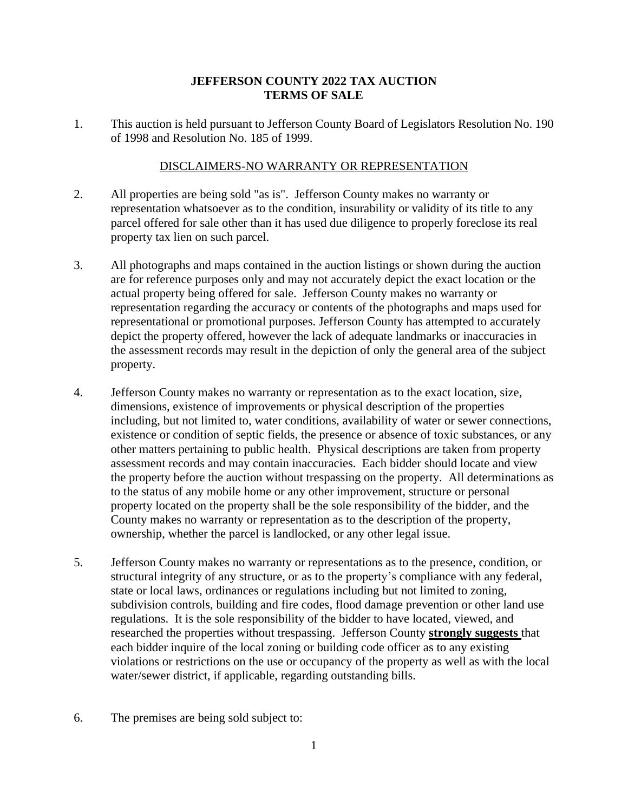## **JEFFERSON COUNTY 2022 TAX AUCTION TERMS OF SALE**

1. This auction is held pursuant to Jefferson County Board of Legislators Resolution No. 190 of 1998 and Resolution No. 185 of 1999.

## DISCLAIMERS-NO WARRANTY OR REPRESENTATION

- 2. All properties are being sold "as is". Jefferson County makes no warranty or representation whatsoever as to the condition, insurability or validity of its title to any parcel offered for sale other than it has used due diligence to properly foreclose its real property tax lien on such parcel.
- 3. All photographs and maps contained in the auction listings or shown during the auction are for reference purposes only and may not accurately depict the exact location or the actual property being offered for sale. Jefferson County makes no warranty or representation regarding the accuracy or contents of the photographs and maps used for representational or promotional purposes. Jefferson County has attempted to accurately depict the property offered, however the lack of adequate landmarks or inaccuracies in the assessment records may result in the depiction of only the general area of the subject property.
- 4. Jefferson County makes no warranty or representation as to the exact location, size, dimensions, existence of improvements or physical description of the properties including, but not limited to, water conditions, availability of water or sewer connections, existence or condition of septic fields, the presence or absence of toxic substances, or any other matters pertaining to public health. Physical descriptions are taken from property assessment records and may contain inaccuracies. Each bidder should locate and view the property before the auction without trespassing on the property. All determinations as to the status of any mobile home or any other improvement, structure or personal property located on the property shall be the sole responsibility of the bidder, and the County makes no warranty or representation as to the description of the property, ownership, whether the parcel is landlocked, or any other legal issue.
- 5. Jefferson County makes no warranty or representations as to the presence, condition, or structural integrity of any structure, or as to the property's compliance with any federal, state or local laws, ordinances or regulations including but not limited to zoning, subdivision controls, building and fire codes, flood damage prevention or other land use regulations. It is the sole responsibility of the bidder to have located, viewed, and researched the properties without trespassing. Jefferson County **strongly suggests** that each bidder inquire of the local zoning or building code officer as to any existing violations or restrictions on the use or occupancy of the property as well as with the local water/sewer district, if applicable, regarding outstanding bills.
- 6. The premises are being sold subject to: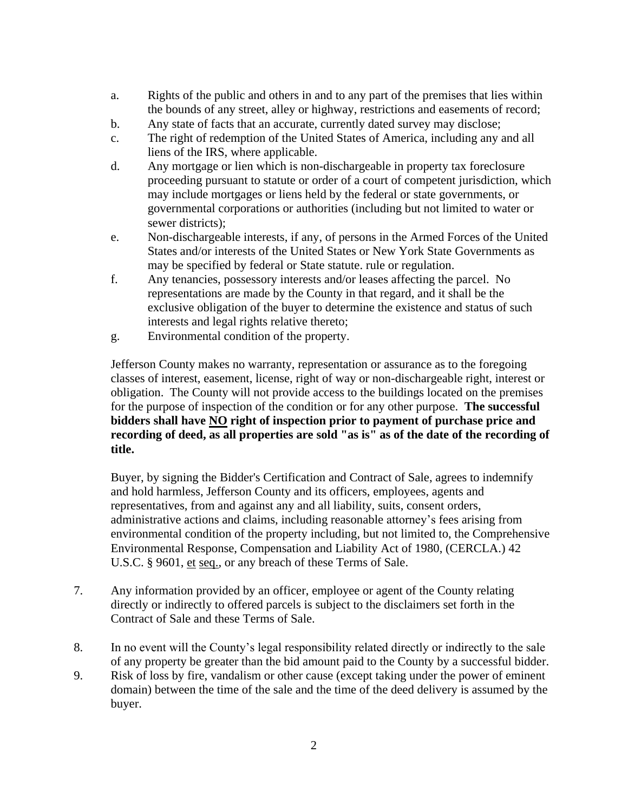- a. Rights of the public and others in and to any part of the premises that lies within the bounds of any street, alley or highway, restrictions and easements of record;
- b. Any state of facts that an accurate, currently dated survey may disclose;
- c. The right of redemption of the United States of America, including any and all liens of the IRS, where applicable.
- d. Any mortgage or lien which is non-dischargeable in property tax foreclosure proceeding pursuant to statute or order of a court of competent jurisdiction, which may include mortgages or liens held by the federal or state governments, or governmental corporations or authorities (including but not limited to water or sewer districts);
- e. Non-dischargeable interests, if any, of persons in the Armed Forces of the United States and/or interests of the United States or New York State Governments as may be specified by federal or State statute. rule or regulation.
- f. Any tenancies, possessory interests and/or leases affecting the parcel. No representations are made by the County in that regard, and it shall be the exclusive obligation of the buyer to determine the existence and status of such interests and legal rights relative thereto;
- g. Environmental condition of the property.

Jefferson County makes no warranty, representation or assurance as to the foregoing classes of interest, easement, license, right of way or non-dischargeable right, interest or obligation. The County will not provide access to the buildings located on the premises for the purpose of inspection of the condition or for any other purpose. **The successful bidders shall have NO right of inspection prior to payment of purchase price and recording of deed, as all properties are sold "as is" as of the date of the recording of title.**

Buyer, by signing the Bidder's Certification and Contract of Sale, agrees to indemnify and hold harmless, Jefferson County and its officers, employees, agents and representatives, from and against any and all liability, suits, consent orders, administrative actions and claims, including reasonable attorney's fees arising from environmental condition of the property including, but not limited to, the Comprehensive Environmental Response, Compensation and Liability Act of 1980, (CERCLA.) 42 U.S.C. § 9601, et seq., or any breach of these Terms of Sale.

- 7. Any information provided by an officer, employee or agent of the County relating directly or indirectly to offered parcels is subject to the disclaimers set forth in the Contract of Sale and these Terms of Sale.
- 8. In no event will the County's legal responsibility related directly or indirectly to the sale of any property be greater than the bid amount paid to the County by a successful bidder.
- 9. Risk of loss by fire, vandalism or other cause (except taking under the power of eminent domain) between the time of the sale and the time of the deed delivery is assumed by the buyer.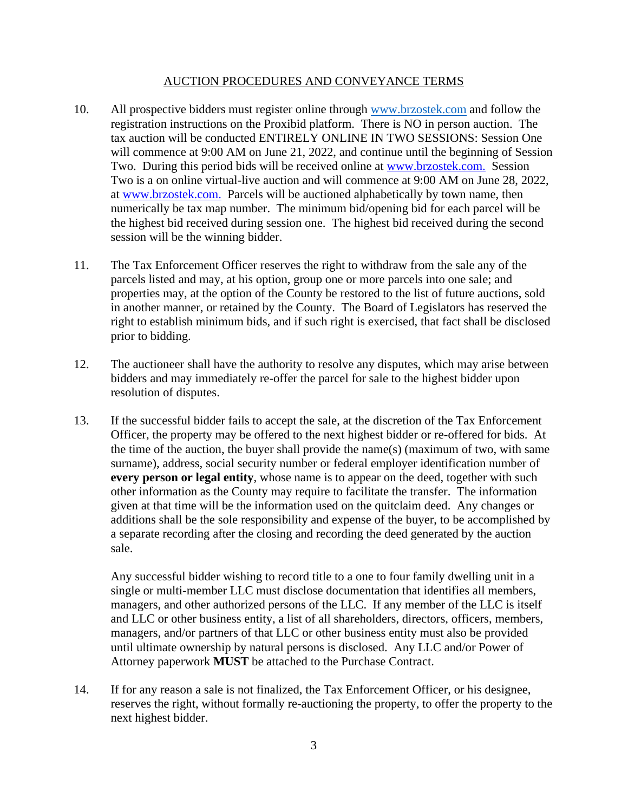## AUCTION PROCEDURES AND CONVEYANCE TERMS

- 10. All prospective bidders must register online through [www.brzostek.com](http://www.brzostek.com/) and follow the registration instructions on the Proxibid platform. There is NO in person auction. The tax auction will be conducted ENTIRELY ONLINE IN TWO SESSIONS: Session One will commence at 9:00 AM on June 21, 2022, and continue until the beginning of Session Two. During this period bids will be received online at [www.brzostek.com.](http://www.brzostek.com./) Session Two is a on online virtual-live auction and will commence at 9:00 AM on June 28, 2022, at [www.brzostek.com.](http://www.brzostek.com./) Parcels will be auctioned alphabetically by town name, then numerically be tax map number. The minimum bid/opening bid for each parcel will be the highest bid received during session one. The highest bid received during the second session will be the winning bidder.
- 11. The Tax Enforcement Officer reserves the right to withdraw from the sale any of the parcels listed and may, at his option, group one or more parcels into one sale; and properties may, at the option of the County be restored to the list of future auctions, sold in another manner, or retained by the County. The Board of Legislators has reserved the right to establish minimum bids, and if such right is exercised, that fact shall be disclosed prior to bidding.
- 12. The auctioneer shall have the authority to resolve any disputes, which may arise between bidders and may immediately re-offer the parcel for sale to the highest bidder upon resolution of disputes.
- 13. If the successful bidder fails to accept the sale, at the discretion of the Tax Enforcement Officer, the property may be offered to the next highest bidder or re-offered for bids. At the time of the auction, the buyer shall provide the name(s) (maximum of two, with same surname), address, social security number or federal employer identification number of **every person or legal entity**, whose name is to appear on the deed, together with such other information as the County may require to facilitate the transfer. The information given at that time will be the information used on the quitclaim deed. Any changes or additions shall be the sole responsibility and expense of the buyer, to be accomplished by a separate recording after the closing and recording the deed generated by the auction sale.

Any successful bidder wishing to record title to a one to four family dwelling unit in a single or multi-member LLC must disclose documentation that identifies all members, managers, and other authorized persons of the LLC. If any member of the LLC is itself and LLC or other business entity, a list of all shareholders, directors, officers, members, managers, and/or partners of that LLC or other business entity must also be provided until ultimate ownership by natural persons is disclosed. Any LLC and/or Power of Attorney paperwork **MUST** be attached to the Purchase Contract.

14. If for any reason a sale is not finalized, the Tax Enforcement Officer, or his designee, reserves the right, without formally re-auctioning the property, to offer the property to the next highest bidder.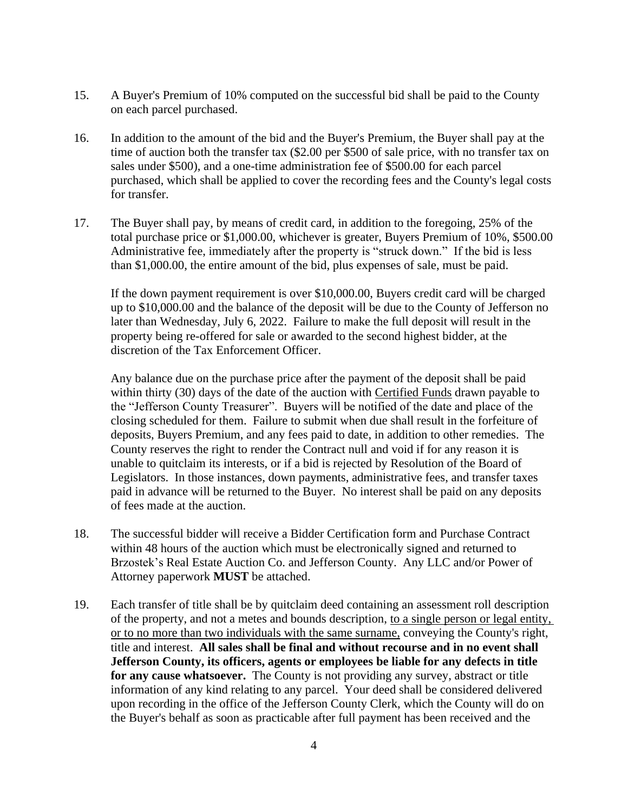- 15. A Buyer's Premium of 10% computed on the successful bid shall be paid to the County on each parcel purchased.
- 16. In addition to the amount of the bid and the Buyer's Premium, the Buyer shall pay at the time of auction both the transfer tax (\$2.00 per \$500 of sale price, with no transfer tax on sales under \$500), and a one-time administration fee of \$500.00 for each parcel purchased, which shall be applied to cover the recording fees and the County's legal costs for transfer.
- 17. The Buyer shall pay, by means of credit card, in addition to the foregoing, 25% of the total purchase price or \$1,000.00, whichever is greater, Buyers Premium of 10%, \$500.00 Administrative fee, immediately after the property is "struck down." If the bid is less than \$1,000.00, the entire amount of the bid, plus expenses of sale, must be paid.

If the down payment requirement is over \$10,000.00, Buyers credit card will be charged up to \$10,000.00 and the balance of the deposit will be due to the County of Jefferson no later than Wednesday, July 6, 2022. Failure to make the full deposit will result in the property being re-offered for sale or awarded to the second highest bidder, at the discretion of the Tax Enforcement Officer.

Any balance due on the purchase price after the payment of the deposit shall be paid within thirty (30) days of the date of the auction with Certified Funds drawn payable to the "Jefferson County Treasurer". Buyers will be notified of the date and place of the closing scheduled for them. Failure to submit when due shall result in the forfeiture of deposits, Buyers Premium, and any fees paid to date, in addition to other remedies. The County reserves the right to render the Contract null and void if for any reason it is unable to quitclaim its interests, or if a bid is rejected by Resolution of the Board of Legislators. In those instances, down payments, administrative fees, and transfer taxes paid in advance will be returned to the Buyer. No interest shall be paid on any deposits of fees made at the auction.

- 18. The successful bidder will receive a Bidder Certification form and Purchase Contract within 48 hours of the auction which must be electronically signed and returned to Brzostek's Real Estate Auction Co. and Jefferson County. Any LLC and/or Power of Attorney paperwork **MUST** be attached.
- 19. Each transfer of title shall be by quitclaim deed containing an assessment roll description of the property, and not a metes and bounds description, to a single person or legal entity, or to no more than two individuals with the same surname, conveying the County's right, title and interest. **All sales shall be final and without recourse and in no event shall Jefferson County, its officers, agents or employees be liable for any defects in title for any cause whatsoever.** The County is not providing any survey, abstract or title information of any kind relating to any parcel. Your deed shall be considered delivered upon recording in the office of the Jefferson County Clerk, which the County will do on the Buyer's behalf as soon as practicable after full payment has been received and the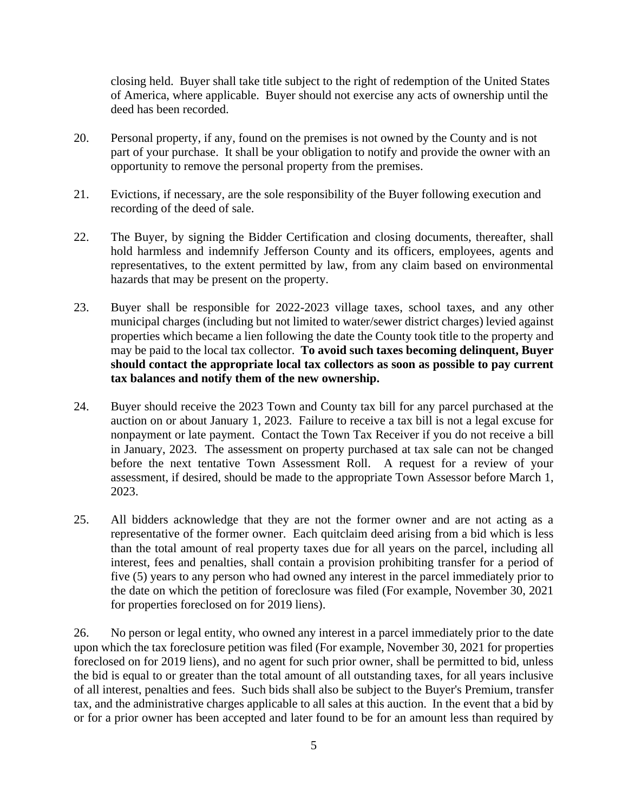closing held. Buyer shall take title subject to the right of redemption of the United States of America, where applicable. Buyer should not exercise any acts of ownership until the deed has been recorded.

- 20. Personal property, if any, found on the premises is not owned by the County and is not part of your purchase. It shall be your obligation to notify and provide the owner with an opportunity to remove the personal property from the premises.
- 21. Evictions, if necessary, are the sole responsibility of the Buyer following execution and recording of the deed of sale.
- 22. The Buyer, by signing the Bidder Certification and closing documents, thereafter, shall hold harmless and indemnify Jefferson County and its officers, employees, agents and representatives, to the extent permitted by law, from any claim based on environmental hazards that may be present on the property.
- 23. Buyer shall be responsible for 2022-2023 village taxes, school taxes, and any other municipal charges (including but not limited to water/sewer district charges) levied against properties which became a lien following the date the County took title to the property and may be paid to the local tax collector. **To avoid such taxes becoming delinquent, Buyer should contact the appropriate local tax collectors as soon as possible to pay current tax balances and notify them of the new ownership.**
- 24. Buyer should receive the 2023 Town and County tax bill for any parcel purchased at the auction on or about January 1, 2023. Failure to receive a tax bill is not a legal excuse for nonpayment or late payment. Contact the Town Tax Receiver if you do not receive a bill in January, 2023. The assessment on property purchased at tax sale can not be changed before the next tentative Town Assessment Roll. A request for a review of your assessment, if desired, should be made to the appropriate Town Assessor before March 1, 2023.
- 25. All bidders acknowledge that they are not the former owner and are not acting as a representative of the former owner. Each quitclaim deed arising from a bid which is less than the total amount of real property taxes due for all years on the parcel, including all interest, fees and penalties, shall contain a provision prohibiting transfer for a period of five (5) years to any person who had owned any interest in the parcel immediately prior to the date on which the petition of foreclosure was filed (For example, November 30, 2021 for properties foreclosed on for 2019 liens).

26. No person or legal entity, who owned any interest in a parcel immediately prior to the date upon which the tax foreclosure petition was filed (For example, November 30, 2021 for properties foreclosed on for 2019 liens), and no agent for such prior owner, shall be permitted to bid, unless the bid is equal to or greater than the total amount of all outstanding taxes, for all years inclusive of all interest, penalties and fees. Such bids shall also be subject to the Buyer's Premium, transfer tax, and the administrative charges applicable to all sales at this auction. In the event that a bid by or for a prior owner has been accepted and later found to be for an amount less than required by